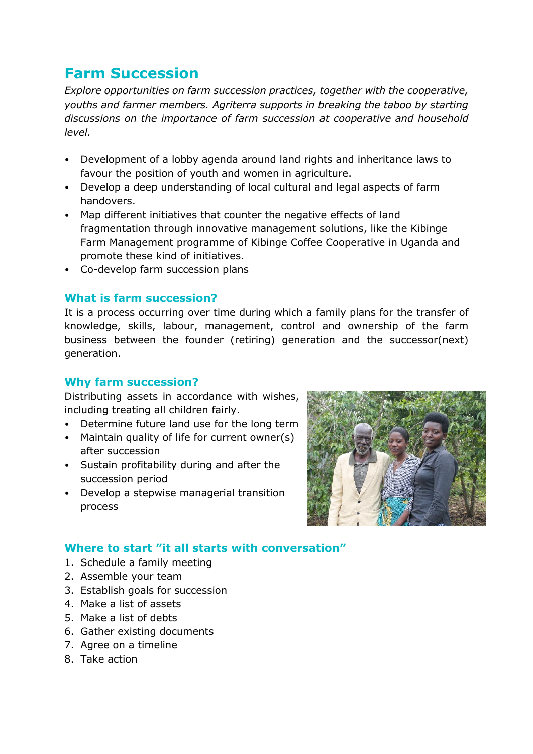# **Farm Succession**

*Explore opportunities on farm succession practices, together with the cooperative, youths and farmer members. Agriterra supports in breaking the taboo by starting discussions on the importance of farm succession at cooperative and household level.*

- Development of a lobby agenda around land rights and inheritance laws to favour the position of youth and women in agriculture.
- Develop a deep understanding of local cultural and legal aspects of farm handovers.
- Map different initiatives that counter the negative effects of land fragmentation through innovative management solutions, like the Kibinge Farm Management programme of Kibinge Coffee Cooperative in Uganda and promote these kind of initiatives.
- Co-develop farm succession plans

## **What is farm succession?**

It is a process occurring over time during which a family plans for the transfer of knowledge, skills, labour, management, control and ownership of the farm business between the founder (retiring) generation and the successor(next) generation.

#### **Why farm succession?**

Distributing assets in accordance with wishes, including treating all children fairly.

- Determine future land use for the long term
- Maintain quality of life for current owner(s) after succession
- Sustain profitability during and after the succession period
- Develop a stepwise managerial transition process



## **Where to start "it all starts with conversation"**

- 1. Schedule a family meeting
- 2. Assemble your team
- 3. Establish goals for succession
- 4. Make a list of assets
- 5. Make a list of debts
- 6. Gather existing documents
- 7. Agree on a timeline
- 8. Take action